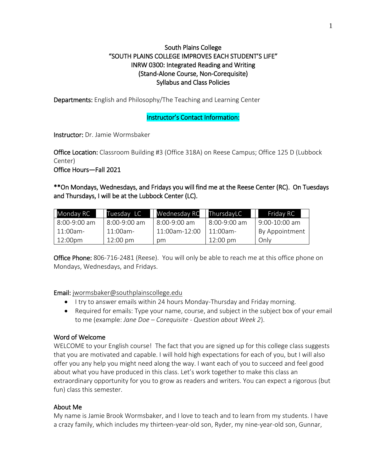## South Plains College "SOUTH PLAINS COLLEGE IMPROVES EACH STUDENT'S LIFE" INRW 0300: Integrated Reading and Writing (Stand-Alone Course, Non-Corequisite) Syllabus and Class Policies

Departments: English and Philosophy/The Teaching and Learning Center

### Instructor's Contact Information:

Instructor: Dr. Jamie Wormsbaker

Office Location: Classroom Building #3 (Office 318A) on Reese Campus; Office 125 D (Lubbock Center)

Office Hours—Fall 2021

\*\*On Mondays, Wednesdays, and Fridays you will find me at the Reese Center (RC). On Tuesdays and Thursdays, I will be at the Lubbock Center (LC).

| Monday RC      | Tuesday LC         | Wednesday RC  | ThursdayLC         | Friday RC       |
|----------------|--------------------|---------------|--------------------|-----------------|
| $8:00-9:00$ am | $8:00-9:00$ am     | 8:00-9:00 am  | 8:00-9:00 am       | $9:00-10:00$ am |
| $11:00$ am-    | $11:00$ am-        | 11:00am-12:00 | $11:00$ am-        | By Appointment  |
| 12:00pm        | $12:00 \text{ pm}$ | pm            | $12:00 \text{ pm}$ | Onlv            |

**Office Phone:** 806-716-2481 (Reese). You will only be able to reach me at this office phone on Mondays, Wednesdays, and Fridays.

## Email: [jwormsbaker@southplainscollege.edu](mailto:jwormsbaker@southplainscollege.edu)

- I try to answer emails within 24 hours Monday-Thursday and Friday morning.
- Required for emails: Type your name, course, and subject in the subject box of your email to me (example: *Jane Doe – Corequisite - Question about Week 2*).

## Word of Welcome

WELCOME to your English course! The fact that you are signed up for this college class suggests that you are motivated and capable. I will hold high expectations for each of you, but I will also offer you any help you might need along the way. I want each of you to succeed and feel good about what you have produced in this class. Let's work together to make this class an extraordinary opportunity for you to grow as readers and writers. You can expect a rigorous (but fun) class this semester.

## About Me

My name is Jamie Brook Wormsbaker, and I love to teach and to learn from my students. I have a crazy family, which includes my thirteen-year-old son, Ryder, my nine-year-old son, Gunnar,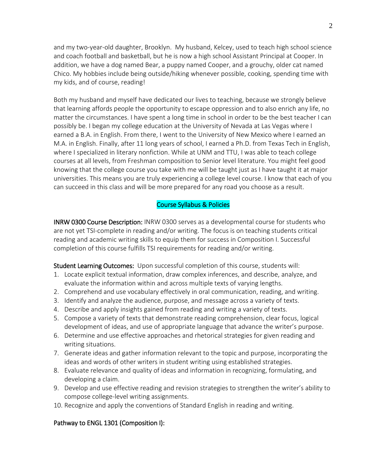and my two-year-old daughter, Brooklyn. My husband, Kelcey, used to teach high school science and coach football and basketball, but he is now a high school Assistant Principal at Cooper. In addition, we have a dog named Bear, a puppy named Cooper, and a grouchy, older cat named Chico. My hobbies include being outside/hiking whenever possible, cooking, spending time with my kids, and of course, reading!

Both my husband and myself have dedicated our lives to teaching, because we strongly believe that learning affords people the opportunity to escape oppression and to also enrich any life, no matter the circumstances. I have spent a long time in school in order to be the best teacher I can possibly be. I began my college education at the University of Nevada at Las Vegas where I earned a B.A. in English. From there, I went to the University of New Mexico where I earned an M.A. in English. Finally, after 11 long years of school, I earned a Ph.D. from Texas Tech in English, where I specialized in literary nonfiction. While at UNM and TTU, I was able to teach college courses at all levels, from Freshman composition to Senior level literature. You might feel good knowing that the college course you take with me will be taught just as I have taught it at major universities. This means you are truly experiencing a college level course. I know that each of you can succeed in this class and will be more prepared for any road you choose as a result.

#### Course Syllabus & Policies

INRW 0300 Course Description: INRW 0300 serves as a developmental course for students who are not yet TSI-complete in reading and/or writing. The focus is on teaching students critical reading and academic writing skills to equip them for success in Composition I. Successful completion of this course fulfills TSI requirements for reading and/or writing.

Student Learning Outcomes: Upon successful completion of this course, students will:

- 1. Locate explicit textual information, draw complex inferences, and describe, analyze, and evaluate the information within and across multiple texts of varying lengths.
- 2. Comprehend and use vocabulary effectively in oral communication, reading, and writing.
- 3. Identify and analyze the audience, purpose, and message across a variety of texts.
- 4. Describe and apply insights gained from reading and writing a variety of texts.
- 5. Compose a variety of texts that demonstrate reading comprehension, clear focus, logical development of ideas, and use of appropriate language that advance the writer's purpose.
- 6. Determine and use effective approaches and rhetorical strategies for given reading and writing situations.
- 7. Generate ideas and gather information relevant to the topic and purpose, incorporating the ideas and words of other writers in student writing using established strategies.
- 8. Evaluate relevance and quality of ideas and information in recognizing, formulating, and developing a claim.
- 9. Develop and use effective reading and revision strategies to strengthen the writer's ability to compose college-level writing assignments.
- 10. Recognize and apply the conventions of Standard English in reading and writing.

## Pathway to ENGL 1301 (Composition I):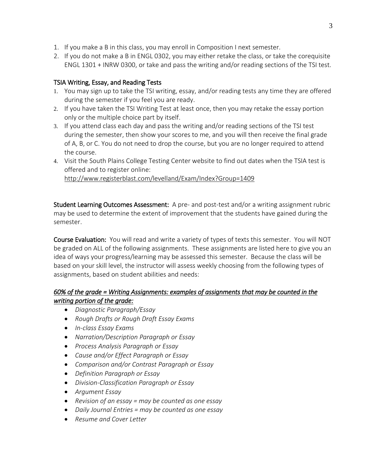- 1. If you make a B in this class, you may enroll in Composition I next semester.
- 2. If you do not make a B in ENGL 0302, you may either retake the class, or take the corequisite ENGL 1301 + INRW 0300, or take and pass the writing and/or reading sections of the TSI test.

## TSIA Writing, Essay, and Reading Tests

- 1. You may sign up to take the TSI writing, essay, and/or reading tests any time they are offered during the semester if you feel you are ready.
- 2. If you have taken the TSI Writing Test at least once, then you may retake the essay portion only or the multiple choice part by itself.
- 3. If you attend class each day and pass the writing and/or reading sections of the TSI test during the semester, then show your scores to me, and you will then receive the final grade of A, B, or C. You do not need to drop the course, but you are no longer required to attend the course.
- 4. Visit the South Plains College Testing Center website to find out dates when the TSIA test is offered and to register online: <http://www.registerblast.com/levelland/Exam/Index?Group=1409>

Student Learning Outcomes Assessment: A pre- and post-test and/or a writing assignment rubric

may be used to determine the extent of improvement that the students have gained during the semester.

Course Evaluation: You will read and write a variety of types of texts this semester. You will NOT be graded on ALL of the following assignments. These assignments are listed here to give you an idea of ways your progress/learning may be assessed this semester. Because the class will be based on your skill level, the instructor will assess weekly choosing from the following types of assignments, based on student abilities and needs:

# *60% of the grade = Writing Assignments: examples of assignments that may be counted in the writing portion of the grade:*

- *Diagnostic Paragraph/Essay*
- *Rough Drafts or Rough Draft Essay Exams*
- *In-class Essay Exams*
- *Narration/Description Paragraph or Essay*
- *Process Analysis Paragraph or Essay*
- *Cause and/or Effect Paragraph or Essay*
- *Comparison and/or Contrast Paragraph or Essay*
- *Definition Paragraph or Essay*
- *Division-Classification Paragraph or Essay*
- *Argument Essay*
- *Revision of an essay = may be counted as one essay*
- *Daily Journal Entries = may be counted as one essay*
- *Resume and Cover Letter*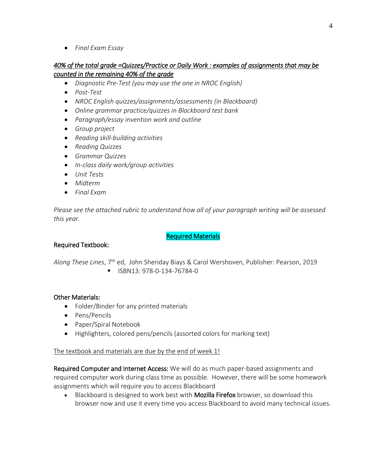• *Final Exam Essay*

## *40% of the total grade =Quizzes/Practice or Daily Work : examples of assignments that may be counted in the remaining 40% of the grade*

- *Diagnostic Pre-Test (you may use the one in NROC English)*
- *Post-Test*
- *NROC English quizzes/assignments/assessments (in Blackboard)*
- *Online grammar practice/quizzes in Blackboard test bank*
- *Paragraph/essay invention work and outline*
- *Group project*
- *Reading skill-building activities*
- *Reading Quizzes*
- *Grammar Quizzes*
- *In-class daily work/group activities*
- *Unit Tests*
- *Midterm*
- *Final Exam*

*Please see the attached rubric to understand how all of your paragraph writing will be assessed this year.* 

#### Required Materials

#### Required Textbook:

*Along These Lines*, 7th ed, John Sheriday Biays & Carol Wershoven, Publisher: Pearson, 2019

▪ ISBN13: 978-0-134-76784-0

#### Other Materials:

- Folder/Binder for any printed materials
- Pens/Pencils
- Paper/Spiral Notebook
- Highlighters, colored pens/pencils (assorted colors for marking text)

#### The textbook and materials are due by the end of week 1!

Required Computer and Internet Access: We will do as much paper-based assignments and required computer work during class time as possible. However, there will be some homework assignments which will require you to access Blackboard

• Blackboard is designed to work best with **Mozilla Firefox** browser, so download this browser now and use it every time you access Blackboard to avoid many technical issues.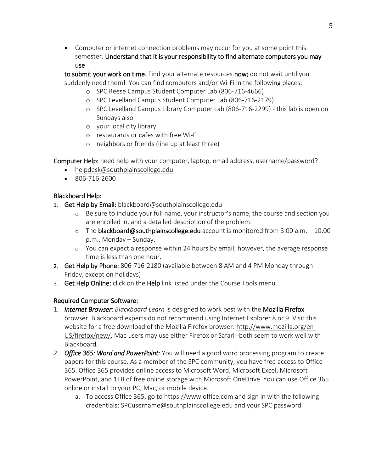• Computer or internet connection problems may occur for you at some point this semester. Understand that it is your responsibility to find alternate computers you may use

to submit your work on time*.* Find your alternate resources now; do not wait until you suddenly need them! You can find computers and/or Wi-Fi in the following places:

- o SPC Reese Campus Student Computer Lab (806-716-4666)
- o SPC Levelland Campus Student Computer Lab (806-716-2179)
- o SPC Levelland Campus Library Computer Lab (806-716-2299) this lab is open on Sundays also
- o your local city library
- o restaurants or cafes with free Wi-Fi
- o neighbors or friends (line up at least three)

Computer Help: need help with your computer, laptop, email address, username/password?

- [helpdesk@southplainscollege.edu](mailto:helpdesk@southplainscollege.edu)
- 806-716-2600

## Blackboard Help:

- 1. Get Help by Email: [blackboard@southplainscollege.edu](mailto:blackboard@southplainscollege.edu)
	- o Be sure to include your full name, your instructor's name, the course and section you are enrolled in, and a detailed description of the problem.
	- $\circ$  The blackboard@southplainscollege.edu account is monitored from 8:00 a.m.  $-10:00$ p.m., Monday – Sunday.
	- o You can expect a response within 24 hours by email; however, the average response time is less than one hour.
- 2. Get Help by Phone: 806-716-2180 (available between 8 AM and 4 PM Monday through Friday, except on holidays)
- 3. Get Help Online: click on the Help link listed under the Course Tools menu.

# Required Computer Software:

- 1. *Internet Browser: Blackboard Learn* is designed to work best with the Mozilla Firefox browser. Blackboard experts do not recommend using Internet Explorer 8 or 9. Visit this website for a free download of the Mozilla Firefox browser: [http://www.mozilla.org/en-](http://www.mozilla.org/en-US/firefox/new/)[US/firefox/new/.](http://www.mozilla.org/en-US/firefox/new/) Mac users may use either Firefox or Safari--both seem to work well with Blackboard.
- 2. *Office 365: Word and PowerPoint*: You will need a good word processing program to create papers for this course. As a member of the SPC community, you have free access to Office 365. Office 365 provides online access to Microsoft Word, Microsoft Excel, Microsoft PowerPoint, and 1TB of free online storage with Microsoft OneDrive. You can use Office 365 online or install to your PC, Mac, or mobile device.
	- a. To access Office 365, go to [https://www.office.com](https://www.office.com/) and sign in with the following credentials: SPCusername@southplainscollege.edu and your SPC password.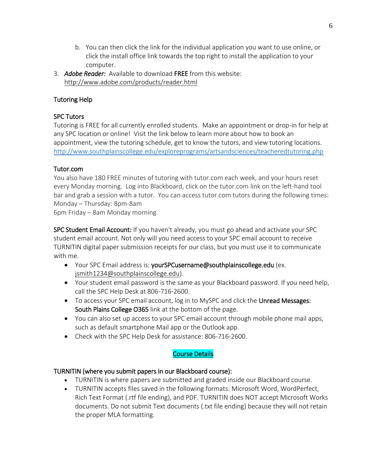- b. You can then click the link for the individual application you want to use online, or click the install office link towards the top right to install the application to your computer.
- 3. *Adobe Reader:* Available to download FREE from this website: <http://www.adobe.com/products/reader.html>

# Tutoring Help

## SPC Tutors

Tutoring is FREE for all currently enrolled students. Make an appointment or drop-in for help at any SPC location or online! Visit the link below to learn more about how to book an appointment, view the tutoring schedule, get to know the tutors, and view tutoring locations. <http://www.southplainscollege.edu/exploreprograms/artsandsciences/teacheredtutoring.php>

## Tutor.com

You also have 180 FREE minutes of tutoring with tutor.com each week, and your hours reset every Monday morning. Log into Blackboard, click on the tutor.com link on the left-hand tool bar and grab a session with a tutor. You can access tutor.com tutors during the following times: Monday – Thursday: 8pm-8am

6pm Friday – 8am Monday morning

SPC Student Email Account: If you haven't already, you must go ahead and activate your SPC student email account. Not only will you need access to your SPC email account to receive TURNITIN digital paper submission receipts for our class, but you must use it to communicate with me.

- Your SPC Email address is: yourSPCusername@southplainscollege.edu (ex. [jsmith1234@southplainscollege.edu\)](mailto:jsmith1234@southplainscollege.edu).
- Your student email password is the same as your Blackboard password. If you need help, call the SPC Help Desk at 806-716-2600.
- To access your SPC email account, log in to MySPC and click the Unread Messages: South Plains College O365 link at the bottom of the page.
- You can also set up access to your SPC email account through mobile phone mail apps, such as default smartphone Mail app or the Outlook app.
- Check with the SPC Help Desk for assistance: 806-716-2600.

# Course Details

## TURNITIN (where you submit papers in our Blackboard course):

- TURNITIN is where papers are submitted and graded inside our Blackboard course.
- TURNITIN accepts files saved in the following formats: Microsoft Word, WordPerfect, Rich Text Format (.rtf file ending), and PDF. TURNITIN does NOT accept Microsoft Works documents. Do not submit Text documents (.txt file ending) because they will not retain the proper MLA formatting.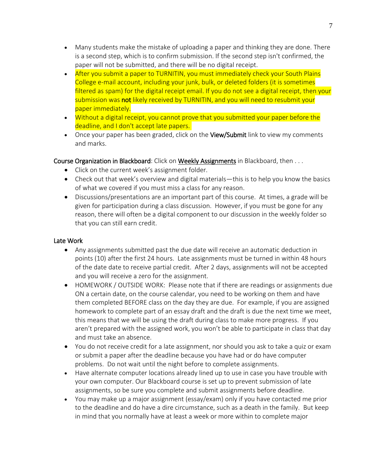- Many students make the mistake of uploading a paper and thinking they are done. There is a second step, which is to confirm submission. If the second step isn't confirmed, the paper will not be submitted, and there will be no digital receipt.
- After you submit a paper to TURNITIN, you must immediately check your South Plains College e-mail account, including your junk, bulk, or deleted folders (it is sometimes filtered as spam) for the digital receipt email. If you do not see a digital receipt, then your submission was not likely received by TURNITIN, and you will need to resubmit your paper immediately.
- Without a digital receipt, you cannot prove that you submitted your paper before the deadline, and I don't accept late papers.
- Once your paper has been graded, click on the View/Submit link to view my comments and marks.

## Course Organization in Blackboard: Click on Weekly Assignments in Blackboard, then ...

- Click on the current week's assignment folder.
- Check out that week's overview and digital materials—this is to help you know the basics of what we covered if you must miss a class for any reason.
- Discussions/presentations are an important part of this course. At times, a grade will be given for participation during a class discussion. However, if you must be gone for any reason, there will often be a digital component to our discussion in the weekly folder so that you can still earn credit.

## Late Work

- Any assignments submitted past the due date will receive an automatic deduction in points (10) after the first 24 hours. Late assignments must be turned in within 48 hours of the date date to receive partial credit. After 2 days, assignments will not be accepted and you will receive a zero for the assignment.
- HOMEWORK / OUTSIDE WORK: Please note that if there are readings or assignments due ON a certain date, on the course calendar, you need to be working on them and have them completed BEFORE class on the day they are due. For example, if you are assigned homework to complete part of an essay draft and the draft is due the next time we meet, this means that we will be using the draft during class to make more progress. If you aren't prepared with the assigned work, you won't be able to participate in class that day and must take an absence.
- You do not receive credit for a late assignment, nor should you ask to take a quiz or exam or submit a paper after the deadline because you have had or do have computer problems. Do not wait until the night before to complete assignments.
- Have alternate computer locations already lined up to use in case you have trouble with your own computer. Our Blackboard course is set up to prevent submission of late assignments, so be sure you complete and submit assignments before deadline.
- You may make up a major assignment (essay/exam) only if you have contacted me prior to the deadline and do have a dire circumstance, such as a death in the family. But keep in mind that you normally have at least a week or more within to complete major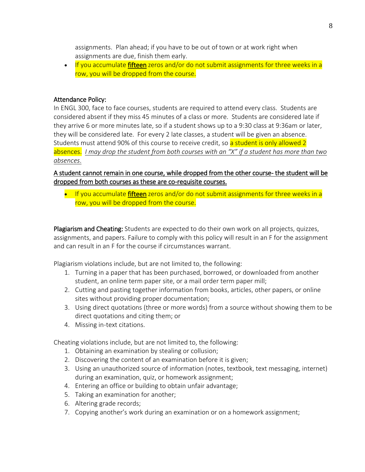assignments. Plan ahead; if you have to be out of town or at work right when assignments are due, finish them early.

• If you accumulate fifteen zeros and/or do not submit assignments for three weeks in a row, you will be dropped from the course.

#### Attendance Policy:

In ENGL 300, face to face courses, students are required to attend every class. Students are considered absent if they miss 45 minutes of a class or more. Students are considered late if they arrive 6 or more minutes late, so if a student shows up to a 9:30 class at 9:36am or later, they will be considered late. For every 2 late classes, a student will be given an absence. Students must attend 90% of this course to receive credit, so a student is only allowed 2 absences. *I may drop the student from both courses with an "X" if a student has more than two absences*.

A student cannot remain in one course, while dropped from the other course- the student will be dropped from both courses as these are co-requisite courses.

• If you accumulate fifteen zeros and/or do not submit assignments for three weeks in a row, you will be dropped from the course.

Plagiarism and Cheating: Students are expected to do their own work on all projects, quizzes, assignments, and papers. Failure to comply with this policy will result in an F for the assignment and can result in an F for the course if circumstances warrant.

Plagiarism violations include, but are not limited to, the following:

- 1. Turning in a paper that has been purchased, borrowed, or downloaded from another student, an online term paper site, or a mail order term paper mill;
- 2. Cutting and pasting together information from books, articles, other papers, or online sites without providing proper documentation;
- 3. Using direct quotations (three or more words) from a source without showing them to be direct quotations and citing them; or
- 4. Missing in-text citations.

Cheating violations include, but are not limited to, the following:

- 1. Obtaining an examination by stealing or collusion;
- 2. Discovering the content of an examination before it is given;
- 3. Using an unauthorized source of information (notes, textbook, text messaging, internet) during an examination, quiz, or homework assignment;
- 4. Entering an office or building to obtain unfair advantage;
- 5. Taking an examination for another;
- 6. Altering grade records;
- 7. Copying another's work during an examination or on a homework assignment;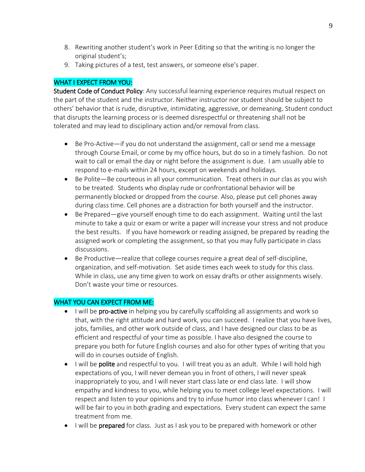- 8. Rewriting another student's work in Peer Editing so that the writing is no longer the original student's;
- 9. Taking pictures of a test, test answers, or someone else's paper.

### WHAT I EXPECT FROM YOU:

Student Code of Conduct Policy: Any successful learning experience requires mutual respect on the part of the student and the instructor. Neither instructor nor student should be subject to others' behavior that is rude, disruptive, intimidating, aggressive, or demeaning. Student conduct that disrupts the learning process or is deemed disrespectful or threatening shall not be tolerated and may lead to disciplinary action and/or removal from class.

- Be Pro-Active—if you do not understand the assignment, call or send me a message through Course Email, or come by my office hours, but do so in a timely fashion. Do not wait to call or email the day or night before the assignment is due. I am usually able to respond to e-mails within 24 hours, except on weekends and holidays.
- Be Polite—Be courteous in all your communication. Treat others in our clas as you wish to be treated. Students who display rude or confrontational behavior will be permanently blocked or dropped from the course. Also, please put cell phones away during class time. Cell phones are a distraction for both yourself and the instructor.
- Be Prepared—give yourself enough time to do each assignment. Waiting until the last minute to take a quiz or exam or write a paper will increase your stress and not produce the best results. If you have homework or reading assigned, be prepared by reading the assigned work or completing the assignment, so that you may fully participate in class discussions.
- Be Productive—realize that college courses require a great deal of self-discipline, organization, and self-motivation. Set aside times each week to study for this class. While in class, use any time given to work on essay drafts or other assignments wisely. Don't waste your time or resources.

## WHAT YOU CAN EXPECT FROM ME:

- I will be pro-active in helping you by carefully scaffolding all assignments and work so that, with the right attitude and hard work, you can succeed. I realize that you have lives, jobs, families, and other work outside of class, and I have designed our class to be as efficient and respectful of your time as possible. I have also designed the course to prepare you both for future English courses and also for other types of writing that you will do in courses outside of English.
- I will be **polite** and respectful to you. I will treat you as an adult. While I will hold high expectations of you, I will never demean you in front of others, I will never speak inappropriately to you, and I will never start class late or end class late. I will show empathy and kindness to you, while helping you to meet college level expectations. I will respect and listen to your opinions and try to infuse humor into class whenever I can! I will be fair to you in both grading and expectations. Every student can expect the same treatment from me.
- I will be **prepared** for class. Just as I ask you to be prepared with homework or other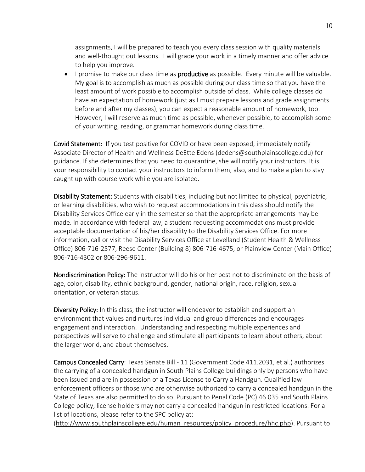assignments, I will be prepared to teach you every class session with quality materials and well-thought out lessons. I will grade your work in a timely manner and offer advice to help you improve.

• I promise to make our class time as **productive** as possible. Every minute will be valuable. My goal is to accomplish as much as possible during our class time so that you have the least amount of work possible to accomplish outside of class. While college classes do have an expectation of homework (just as I must prepare lessons and grade assignments before and after my classes), you can expect a reasonable amount of homework, too. However, I will reserve as much time as possible, whenever possible, to accomplish some of your writing, reading, or grammar homework during class time.

Covid Statement: If you test positive for COVID or have been exposed, immediately notify Associate Director of Health and Wellness DeEtte Edens (dedens@southplainscollege.edu) for guidance. If she determines that you need to quarantine, she will notify your instructors. It is your responsibility to contact your instructors to inform them, also, and to make a plan to stay caught up with course work while you are isolated.

Disability Statement: Students with disabilities, including but not limited to physical, psychiatric, or learning disabilities, who wish to request accommodations in this class should notify the Disability Services Office early in the semester so that the appropriate arrangements may be made. In accordance with federal law, a student requesting accommodations must provide acceptable documentation of his/her disability to the Disability Services Office. For more information, call or visit the Disability Services Office at Levelland (Student Health & Wellness Office) 806-716-2577, Reese Center (Building 8) 806-716-4675, or Plainview Center (Main Office) 806-716-4302 or 806-296-9611.

Nondiscrimination Policy: The instructor will do his or her best not to discriminate on the basis of age, color, disability, ethnic background, gender, national origin, race, religion, sexual orientation, or veteran status.

Diversity Policy: In this class, the instructor will endeavor to establish and support an environment that values and nurtures individual and group differences and encourages engagement and interaction. Understanding and respecting multiple experiences and perspectives will serve to challenge and stimulate all participants to learn about others, about the larger world, and about themselves.

Campus Concealed Carry: Texas Senate Bill - 11 (Government Code 411.2031, et al.) authorizes the carrying of a concealed handgun in South Plains College buildings only by persons who have been issued and are in possession of a Texas License to Carry a Handgun. Qualified law enforcement officers or those who are otherwise authorized to carry a concealed handgun in the State of Texas are also permitted to do so. Pursuant to Penal Code (PC) 46.035 and South Plains College policy, license holders may not carry a concealed handgun in restricted locations. For a list of locations, please refer to the SPC policy at:

[\(http://www.southplainscollege.edu/human\\_resources/policy\\_procedure/hhc.php\)](http://www.southplainscollege.edu/human_resources/policy_procedure/hhc.php). Pursuant to